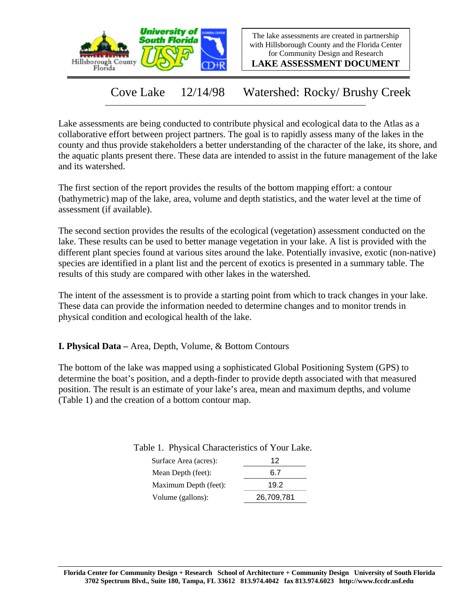



**LAKE ASSESSMENT DOCUMENT**

Cove Lake 12/14/98 Watershed: Rocky/ Brushy Creek

Lake assessments are being conducted to contribute physical and ecological data to the Atlas as a collaborative effort between project partners. The goal is to rapidly assess many of the lakes in the county and thus provide stakeholders a better understanding of the character of the lake, its shore, and the aquatic plants present there. These data are intended to assist in the future management of the lake and its watershed.

The first section of the report provides the results of the bottom mapping effort: a contour (bathymetric) map of the lake, area, volume and depth statistics, and the water level at the time of assessment (if available).

The second section provides the results of the ecological (vegetation) assessment conducted on the lake. These results can be used to better manage vegetation in your lake. A list is provided with the different plant species found at various sites around the lake. Potentially invasive, exotic (non-native) species are identified in a plant list and the percent of exotics is presented in a summary table. The results of this study are compared with other lakes in the watershed.

The intent of the assessment is to provide a starting point from which to track changes in your lake. These data can provide the information needed to determine changes and to monitor trends in physical condition and ecological health of the lake.

**I. Physical Data –** Area, Depth, Volume, & Bottom Contours

The bottom of the lake was mapped using a sophisticated Global Positioning System (GPS) to determine the boat's position, and a depth-finder to provide depth associated with that measured position. The result is an estimate of your lake's area, mean and maximum depths, and volume (Table 1) and the creation of a bottom contour map.

| Table 1. Physical Characteristics of Your Lake. |    |
|-------------------------------------------------|----|
| Surface Area (acres):                           | 12 |

| Surface Area (acres): | $\mathcal{L}$ |
|-----------------------|---------------|
| Mean Depth (feet):    | 6.7           |
| Maximum Depth (feet): | 19.2          |
| Volume (gallons):     | 26,709,781    |
|                       |               |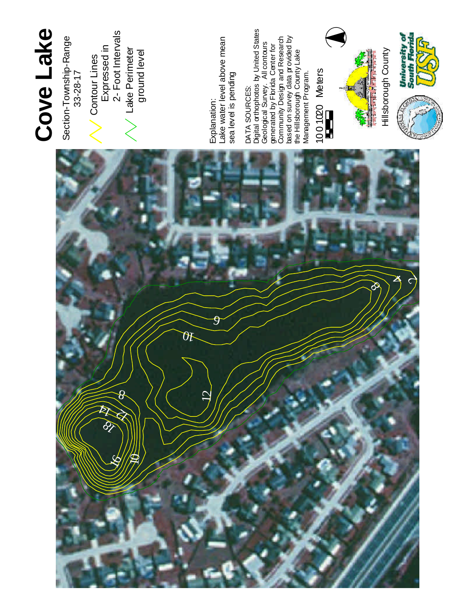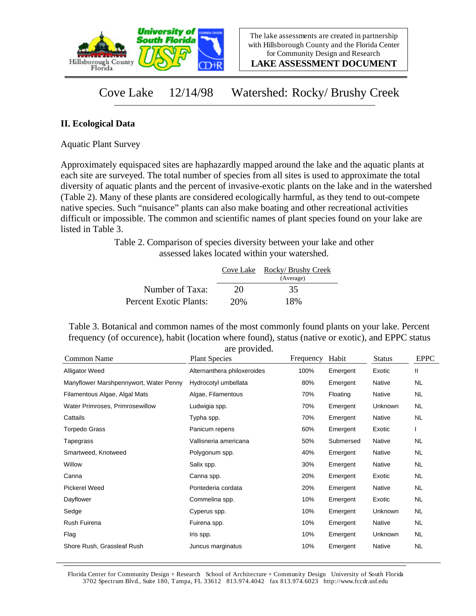

**LAKE ASSESSMENT DOCUMENT**

## Cove Lake 12/14/98 Watershed: Rocky/ Brushy Creek

## **II. Ecological Data**

Aquatic Plant Survey

Approximately equispaced sites are haphazardly mapped around the lake and the aquatic plants at each site are surveyed. The total number of species from all sites is used to approximate the total diversity of aquatic plants and the percent of invasive-exotic plants on the lake and in the watershed (Table 2). Many of these plants are considered ecologically harmful, as they tend to out-compete native species. Such "nuisance" plants can also make boating and other recreational activities difficult or impossible. The common and scientific names of plant species found on your lake are listed in Table 3.

> Table 2. Comparison of species diversity between your lake and other assessed lakes located within your watershed.

|                        |     | Cove Lake Rocky/Brushy Creek<br>(Average) |
|------------------------|-----|-------------------------------------------|
| Number of Taxa:        | 20  | 35                                        |
| Percent Exotic Plants: | 20% | 18%                                       |

Table 3. Botanical and common names of the most commonly found plants on your lake. Percent frequency (of occurence), habit (location where found), status (native or exotic), and EPPC status are provided.

| <b>Common Name</b>                     | $\mathfrak{u}$ . provided.<br><b>Plant Species</b> | Frequency | Habit     | <b>Status</b> | <b>EPPC</b> |
|----------------------------------------|----------------------------------------------------|-----------|-----------|---------------|-------------|
| <b>Alligator Weed</b>                  | Alternanthera philoxeroides                        | 100%      | Emergent  | Exotic        | Ш           |
| Manyflower Marshpennywort, Water Penny | Hydrocotyl umbellata                               | 80%       | Emergent  | Native        | <b>NL</b>   |
| Filamentous Algae, Algal Mats          | Algae, Filamentous                                 | 70%       | Floating  | Native        | NL.         |
| Water Primroses, Primrosewillow        | Ludwigia spp.                                      | 70%       | Emergent  | Unknown       | NL.         |
| Cattails                               | Typha spp.                                         | 70%       | Emergent  | Native        | NL.         |
| <b>Torpedo Grass</b>                   | Panicum repens                                     | 60%       | Emergent  | Exotic        |             |
| Tapegrass                              | Vallisneria americana                              | 50%       | Submersed | Native        | NL          |
| Smartweed, Knotweed                    | Polygonum spp.                                     | 40%       | Emergent  | Native        | NL.         |
| Willow                                 | Salix spp.                                         | 30%       | Emergent  | Native        | NL.         |
| Canna                                  | Canna spp.                                         | 20%       | Emergent  | Exotic        | NL          |
| Pickerel Weed                          | Pontederia cordata                                 | 20%       | Emergent  | Native        | NL.         |
| Dayflower                              | Commelina spp.                                     | 10%       | Emergent  | Exotic        | NL.         |
| Sedge                                  | Cyperus spp.                                       | 10%       | Emergent  | Unknown       | NL.         |
| Rush Fuirena                           | Fuirena spp.                                       | 10%       | Emergent  | Native        | <b>NL</b>   |
| Flag                                   | Iris spp.                                          | 10%       | Emergent  | Unknown       | NL.         |
| Shore Rush, Grassleaf Rush             | Juncus marginatus                                  | 10%       | Emergent  | Native        | NL          |

Florida Center for Community Design + Research School of Architecture + Community Design University of South Florida 3702 Spectrum Blvd., Suite 180, Tampa, FL 33612 813.974.4042 fax 813.974.6023 http://www.fccdr.usf.edu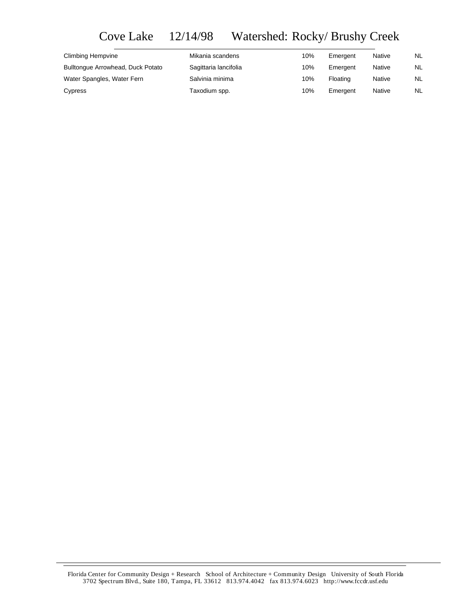Cove Lake 12/14/98 Watershed: Rocky/ Brushy Creek

| Climbing Hempvine                 | Mikania scandens      | 10% | Emergent | Native        | NL        |
|-----------------------------------|-----------------------|-----|----------|---------------|-----------|
| Bulltonque Arrowhead, Duck Potato | Sagittaria lancifolia | 10% | Emergent | <b>Native</b> | <b>NL</b> |
| Water Spangles, Water Fern        | Salvinia minima       | 10% | Floating | <b>Native</b> | <b>NL</b> |
| Cypress                           | Taxodium spp.         | 10% | Emergent | <b>Native</b> | NL        |